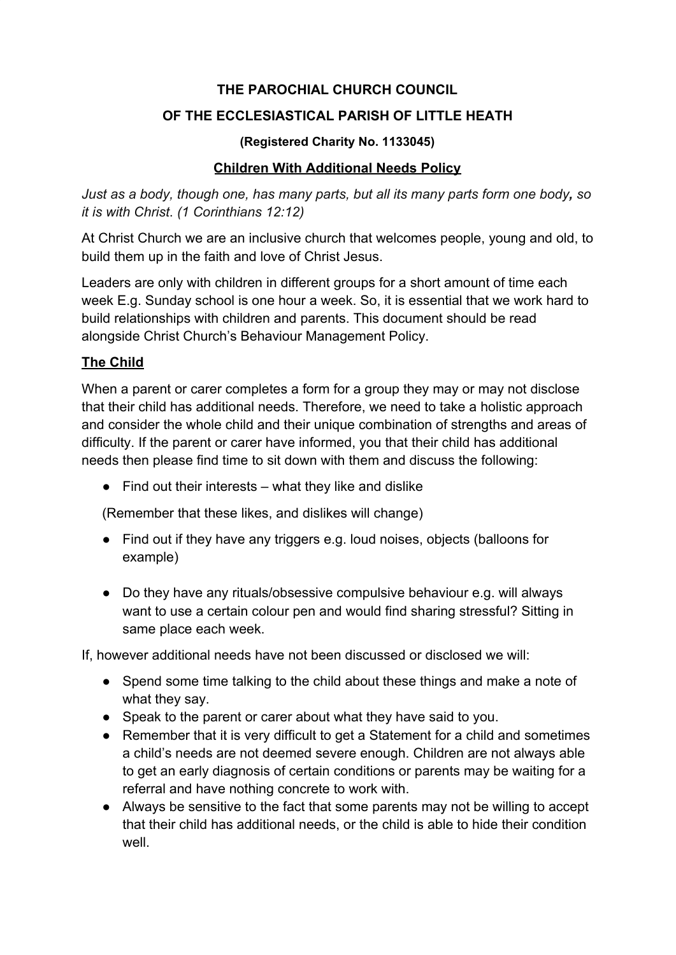## **THE PAROCHIAL CHURCH COUNCIL**

# **OF THE ECCLESIASTICAL PARISH OF LITTLE HEATH**

### **(Registered Charity No. 1133045)**

# **Children With Additional Needs Policy**

*Just as a body, though one, has many parts, but all its many parts form one body, so it is with Christ*. *(1 Corinthians 12:12)*

At Christ Church we are an inclusive church that welcomes people, young and old, to build them up in the faith and love of Christ Jesus.

Leaders are only with children in different groups for a short amount of time each week E.g. Sunday school is one hour a week. So, it is essential that we work hard to build relationships with children and parents. This document should be read alongside Christ Church's Behaviour Management Policy.

# **The Child**

When a parent or carer completes a form for a group they may or may not disclose that their child has additional needs. Therefore, we need to take a holistic approach and consider the whole child and their unique combination of strengths and areas of difficulty. If the parent or carer have informed, you that their child has additional needs then please find time to sit down with them and discuss the following:

 $\bullet$  Find out their interests – what they like and dislike

(Remember that these likes, and dislikes will change)

- Find out if they have any triggers e.g. loud noises, objects (balloons for example)
- Do they have any rituals/obsessive compulsive behaviour e.g. will always want to use a certain colour pen and would find sharing stressful? Sitting in same place each week.

If, however additional needs have not been discussed or disclosed we will:

- Spend some time talking to the child about these things and make a note of what they say.
- Speak to the parent or carer about what they have said to you.
- Remember that it is very difficult to get a Statement for a child and sometimes a child's needs are not deemed severe enough. Children are not always able to get an early diagnosis of certain conditions or parents may be waiting for a referral and have nothing concrete to work with.
- Always be sensitive to the fact that some parents may not be willing to accept that their child has additional needs, or the child is able to hide their condition well.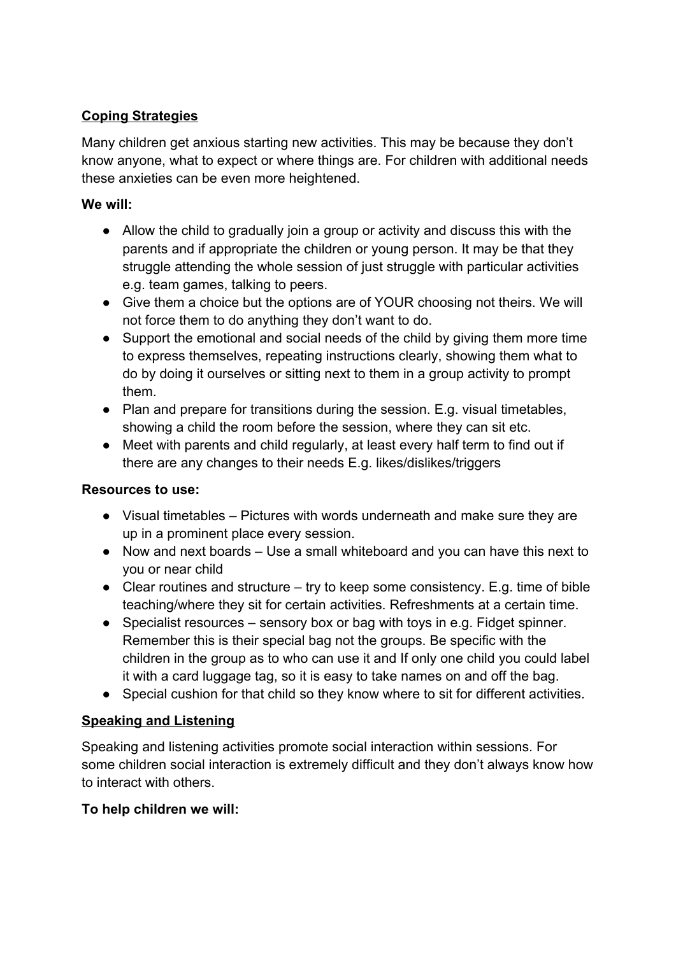# **Coping Strategies**

Many children get anxious starting new activities. This may be because they don't know anyone, what to expect or where things are. For children with additional needs these anxieties can be even more heightened.

# **We will:**

- Allow the child to gradually join a group or activity and discuss this with the parents and if appropriate the children or young person. It may be that they struggle attending the whole session of just struggle with particular activities e.g. team games, talking to peers.
- Give them a choice but the options are of YOUR choosing not theirs. We will not force them to do anything they don't want to do.
- Support the emotional and social needs of the child by giving them more time to express themselves, repeating instructions clearly, showing them what to do by doing it ourselves or sitting next to them in a group activity to prompt them.
- Plan and prepare for transitions during the session. E.g. visual timetables, showing a child the room before the session, where they can sit etc.
- Meet with parents and child regularly, at least every half term to find out if there are any changes to their needs E.g. likes/dislikes/triggers

# **Resources to use:**

- Visual timetables Pictures with words underneath and make sure they are up in a prominent place every session.
- Now and next boards Use a small whiteboard and you can have this next to you or near child
- Clear routines and structure  $-$  try to keep some consistency. E.g. time of bible teaching/where they sit for certain activities. Refreshments at a certain time.
- Specialist resources sensory box or bag with toys in e.g. Fidget spinner. Remember this is their special bag not the groups. Be specific with the children in the group as to who can use it and If only one child you could label it with a card luggage tag, so it is easy to take names on and off the bag.
- Special cushion for that child so they know where to sit for different activities.

# **Speaking and Listening**

Speaking and listening activities promote social interaction within sessions. For some children social interaction is extremely difficult and they don't always know how to interact with others.

# **To help children we will:**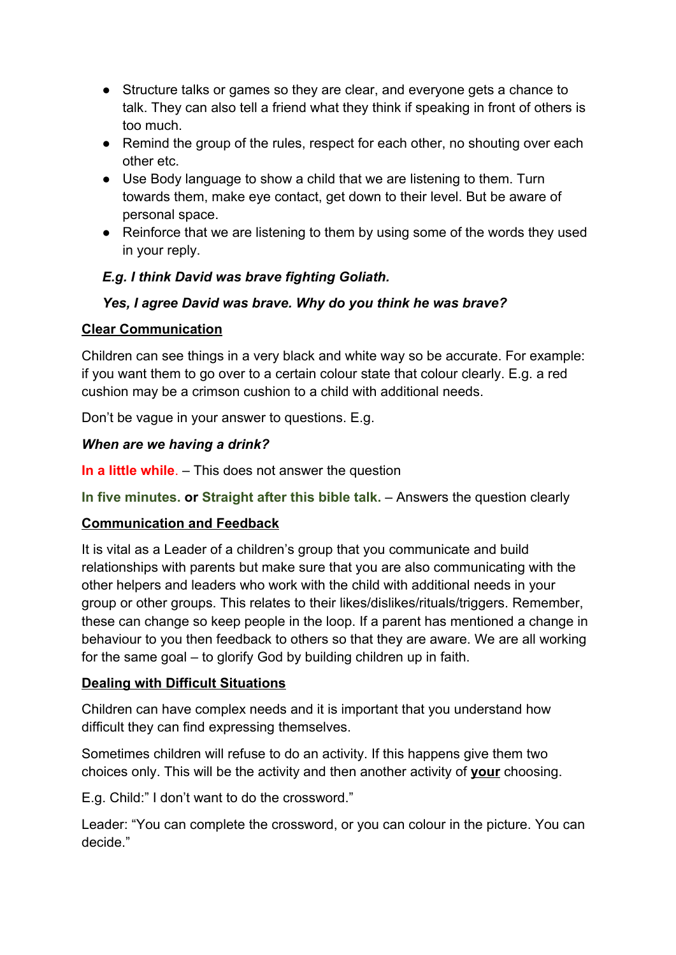- Structure talks or games so they are clear, and everyone gets a chance to talk. They can also tell a friend what they think if speaking in front of others is too much.
- Remind the group of the rules, respect for each other, no shouting over each other etc.
- Use Body language to show a child that we are listening to them. Turn towards them, make eye contact, get down to their level. But be aware of personal space.
- Reinforce that we are listening to them by using some of the words they used in your reply.

# *E.g. I think David was brave fighting Goliath.*

# *Yes, I agree David was brave. Why do you think he was brave?*

### **Clear Communication**

Children can see things in a very black and white way so be accurate. For example: if you want them to go over to a certain colour state that colour clearly. E.g. a red cushion may be a crimson cushion to a child with additional needs.

Don't be vague in your answer to questions. E.g.

### *When are we having a drink?*

**In a little while**. – This does not answer the question

**In five minutes. or Straight after this bible talk.** – Answers the question clearly

### **Communication and Feedback**

It is vital as a Leader of a children's group that you communicate and build relationships with parents but make sure that you are also communicating with the other helpers and leaders who work with the child with additional needs in your group or other groups. This relates to their likes/dislikes/rituals/triggers. Remember, these can change so keep people in the loop. If a parent has mentioned a change in behaviour to you then feedback to others so that they are aware. We are all working for the same goal – to glorify God by building children up in faith.

### **Dealing with Difficult Situations**

Children can have complex needs and it is important that you understand how difficult they can find expressing themselves.

Sometimes children will refuse to do an activity. If this happens give them two choices only. This will be the activity and then another activity of **your** choosing.

E.g. Child:" I don't want to do the crossword."

Leader: "You can complete the crossword, or you can colour in the picture. You can decide."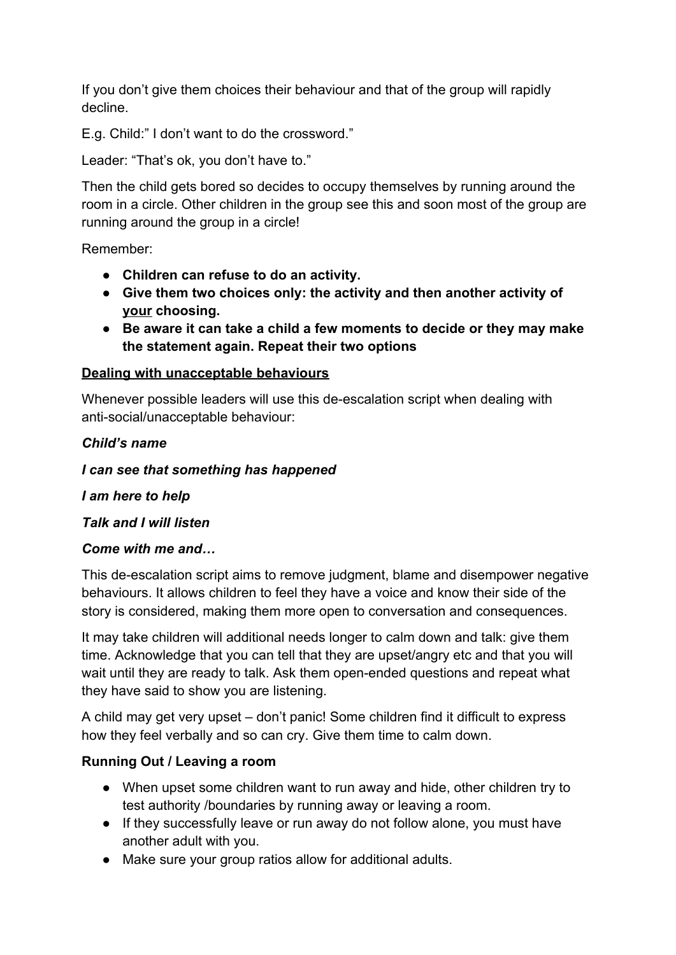If you don't give them choices their behaviour and that of the group will rapidly decline.

E.g. Child:" I don't want to do the crossword."

Leader: "That's ok, you don't have to."

Then the child gets bored so decides to occupy themselves by running around the room in a circle. Other children in the group see this and soon most of the group are running around the group in a circle!

Remember:

- **● Children can refuse to do an activity.**
- **● Give them two choices only: the activity and then another activity of your choosing.**
- **● Be aware it can take a child a few moments to decide or they may make the statement again. Repeat their two options**

# **Dealing with unacceptable behaviours**

Whenever possible leaders will use this de-escalation script when dealing with anti-social/unacceptable behaviour:

### *Child's name*

*I can see that something has happened*

*I am here to help*

*Talk and I will listen*

### *Come with me and…*

This de-escalation script aims to remove judgment, blame and disempower negative behaviours. It allows children to feel they have a voice and know their side of the story is considered, making them more open to conversation and consequences.

It may take children will additional needs longer to calm down and talk: give them time. Acknowledge that you can tell that they are upset/angry etc and that you will wait until they are ready to talk. Ask them open-ended questions and repeat what they have said to show you are listening.

A child may get very upset – don't panic! Some children find it difficult to express how they feel verbally and so can cry. Give them time to calm down.

# **Running Out / Leaving a room**

- When upset some children want to run away and hide, other children try to test authority /boundaries by running away or leaving a room.
- If they successfully leave or run away do not follow alone, you must have another adult with you.
- Make sure your group ratios allow for additional adults.